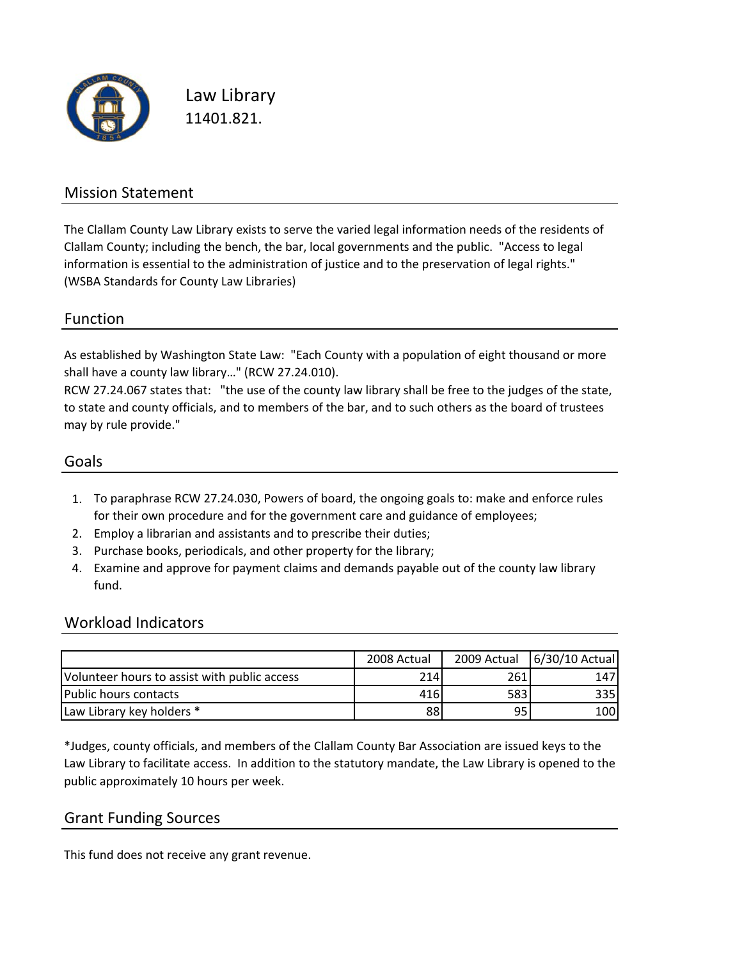

Law Library 11401.821.

### Mission Statement

The Clallam County Law Library exists to serve the varied legal information needs of the residents of Clallam County; including the bench, the bar, local governments and the public. "Access to legal information is essential to the administration of justice and to the preservation of legal rights." (WSBA Standards for County Law Libraries)

#### Function

As established by Washington State Law: "Each County with a population of eight thousand or more shall have a county law library…" (RCW 27.24.010).

RCW 27.24.067 states that: "the use of the county law library shall be free to the judges of the state, to state and county officials, and to members of the bar, and to such others as the board of trustees may by rule provide."

#### Goals

- 1. To paraphrase RCW 27.24.030, Powers of board, the ongoing goals to: make and enforce rules for their own procedure and for the government care and guidance of employees;
- 2. Employ a librarian and assistants and to prescribe their duties;
- 3. Purchase books, periodicals, and other property for the library;
- 4. Examine and approve for payment claims and demands payable out of the county law library fund.

#### Workload Indicators

|                                              | 2008 Actual | 2009 Actual | 6/30/10 Actual |
|----------------------------------------------|-------------|-------------|----------------|
| Volunteer hours to assist with public access | 214         | 261         | 147            |
| lPublic hours contacts                       | 416         | 583         | 335l           |
| Law Library key holders *                    | 88          | 95.         | 100            |

\*Judges, county officials, and members of the Clallam County Bar Association are issued keys to the Law Library to facilitate access. In addition to the statutory mandate, the Law Library is opened to the public approximately 10 hours per week.

#### Grant Funding Sources

This fund does not receive any grant revenue.